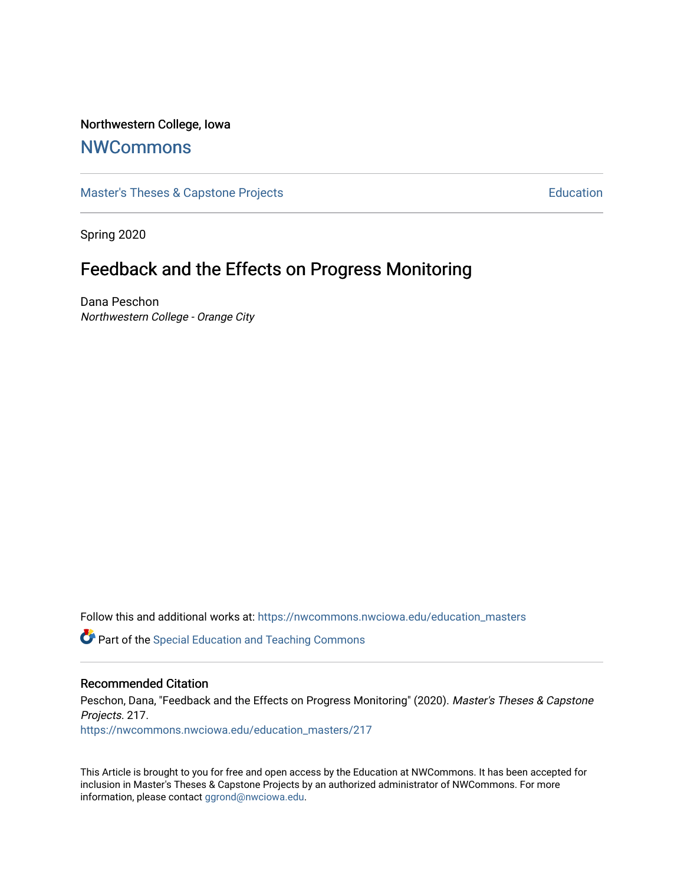### Northwestern College, Iowa

## **[NWCommons](https://nwcommons.nwciowa.edu/)**

[Master's Theses & Capstone Projects](https://nwcommons.nwciowa.edu/education_masters) **Education** Education

Spring 2020

# Feedback and the Effects on Progress Monitoring

Dana Peschon Northwestern College - Orange City

Follow this and additional works at: [https://nwcommons.nwciowa.edu/education\\_masters](https://nwcommons.nwciowa.edu/education_masters?utm_source=nwcommons.nwciowa.edu%2Feducation_masters%2F217&utm_medium=PDF&utm_campaign=PDFCoverPages)

**C** Part of the Special Education and Teaching Commons

#### Recommended Citation

Peschon, Dana, "Feedback and the Effects on Progress Monitoring" (2020). Master's Theses & Capstone Projects. 217.

[https://nwcommons.nwciowa.edu/education\\_masters/217](https://nwcommons.nwciowa.edu/education_masters/217?utm_source=nwcommons.nwciowa.edu%2Feducation_masters%2F217&utm_medium=PDF&utm_campaign=PDFCoverPages)

This Article is brought to you for free and open access by the Education at NWCommons. It has been accepted for inclusion in Master's Theses & Capstone Projects by an authorized administrator of NWCommons. For more information, please contact [ggrond@nwciowa.edu](mailto:ggrond@nwciowa.edu).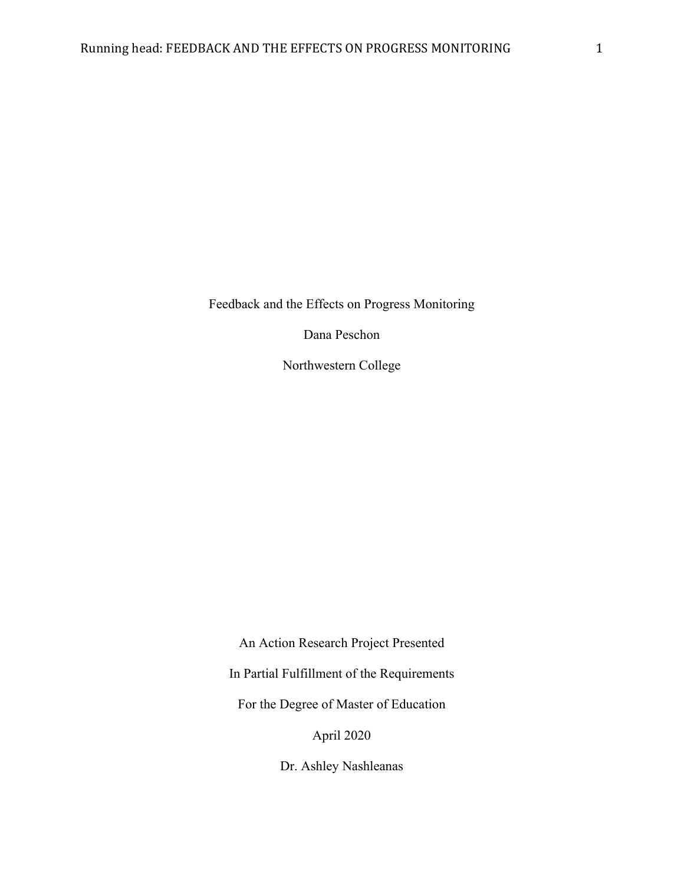Feedback and the Effects on Progress Monitoring

Dana Peschon

Northwestern College

An Action Research Project Presented In Partial Fulfillment of the Requirements For the Degree of Master of Education April 2020

Dr. Ashley Nashleanas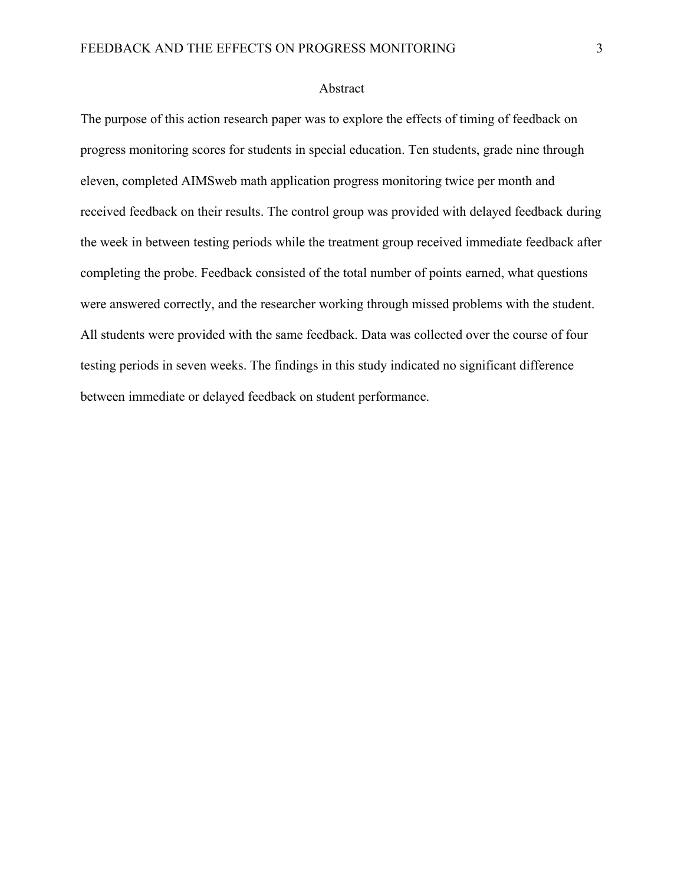#### Abstract

The purpose of this action research paper was to explore the effects of timing of feedback on progress monitoring scores for students in special education. Ten students, grade nine through eleven, completed AIMSweb math application progress monitoring twice per month and received feedback on their results. The control group was provided with delayed feedback during the week in between testing periods while the treatment group received immediate feedback after completing the probe. Feedback consisted of the total number of points earned, what questions were answered correctly, and the researcher working through missed problems with the student. All students were provided with the same feedback. Data was collected over the course of four testing periods in seven weeks. The findings in this study indicated no significant difference between immediate or delayed feedback on student performance.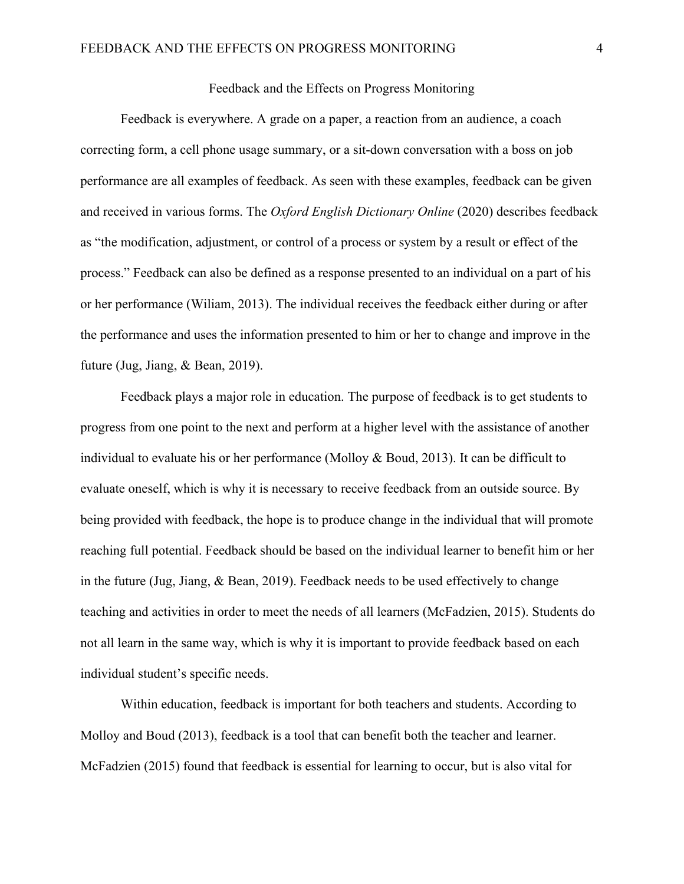#### Feedback and the Effects on Progress Monitoring

Feedback is everywhere. A grade on a paper, a reaction from an audience, a coach correcting form, a cell phone usage summary, or a sit-down conversation with a boss on job performance are all examples of feedback. As seen with these examples, feedback can be given and received in various forms. The *Oxford English Dictionary Online* (2020) describes feedback as "the modification, adjustment, or control of a process or system by a result or effect of the process." Feedback can also be defined as a response presented to an individual on a part of his or her performance (Wiliam, 2013). The individual receives the feedback either during or after the performance and uses the information presented to him or her to change and improve in the future (Jug, Jiang, & Bean, 2019).

Feedback plays a major role in education. The purpose of feedback is to get students to progress from one point to the next and perform at a higher level with the assistance of another individual to evaluate his or her performance (Molloy & Boud, 2013). It can be difficult to evaluate oneself, which is why it is necessary to receive feedback from an outside source. By being provided with feedback, the hope is to produce change in the individual that will promote reaching full potential. Feedback should be based on the individual learner to benefit him or her in the future (Jug, Jiang, & Bean, 2019). Feedback needs to be used effectively to change teaching and activities in order to meet the needs of all learners (McFadzien, 2015). Students do not all learn in the same way, which is why it is important to provide feedback based on each individual student's specific needs.

Within education, feedback is important for both teachers and students. According to Molloy and Boud (2013), feedback is a tool that can benefit both the teacher and learner. McFadzien (2015) found that feedback is essential for learning to occur, but is also vital for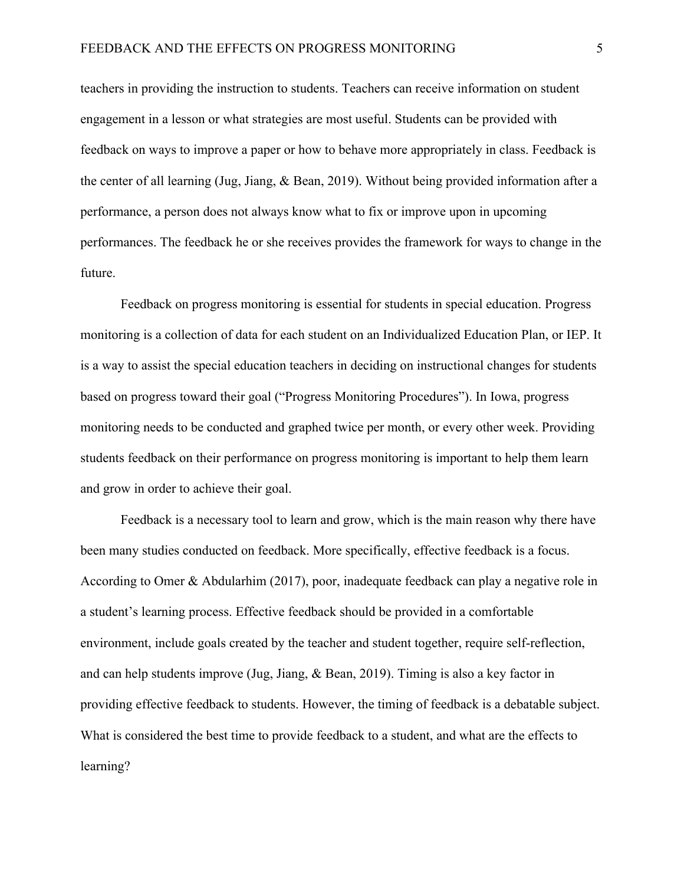teachers in providing the instruction to students. Teachers can receive information on student engagement in a lesson or what strategies are most useful. Students can be provided with feedback on ways to improve a paper or how to behave more appropriately in class. Feedback is the center of all learning (Jug, Jiang, & Bean, 2019). Without being provided information after a performance, a person does not always know what to fix or improve upon in upcoming performances. The feedback he or she receives provides the framework for ways to change in the future.

Feedback on progress monitoring is essential for students in special education. Progress monitoring is a collection of data for each student on an Individualized Education Plan, or IEP. It is a way to assist the special education teachers in deciding on instructional changes for students based on progress toward their goal ("Progress Monitoring Procedures"). In Iowa, progress monitoring needs to be conducted and graphed twice per month, or every other week. Providing students feedback on their performance on progress monitoring is important to help them learn and grow in order to achieve their goal.

Feedback is a necessary tool to learn and grow, which is the main reason why there have been many studies conducted on feedback. More specifically, effective feedback is a focus. According to Omer & Abdularhim (2017), poor, inadequate feedback can play a negative role in a student's learning process. Effective feedback should be provided in a comfortable environment, include goals created by the teacher and student together, require self-reflection, and can help students improve (Jug, Jiang, & Bean, 2019). Timing is also a key factor in providing effective feedback to students. However, the timing of feedback is a debatable subject. What is considered the best time to provide feedback to a student, and what are the effects to learning?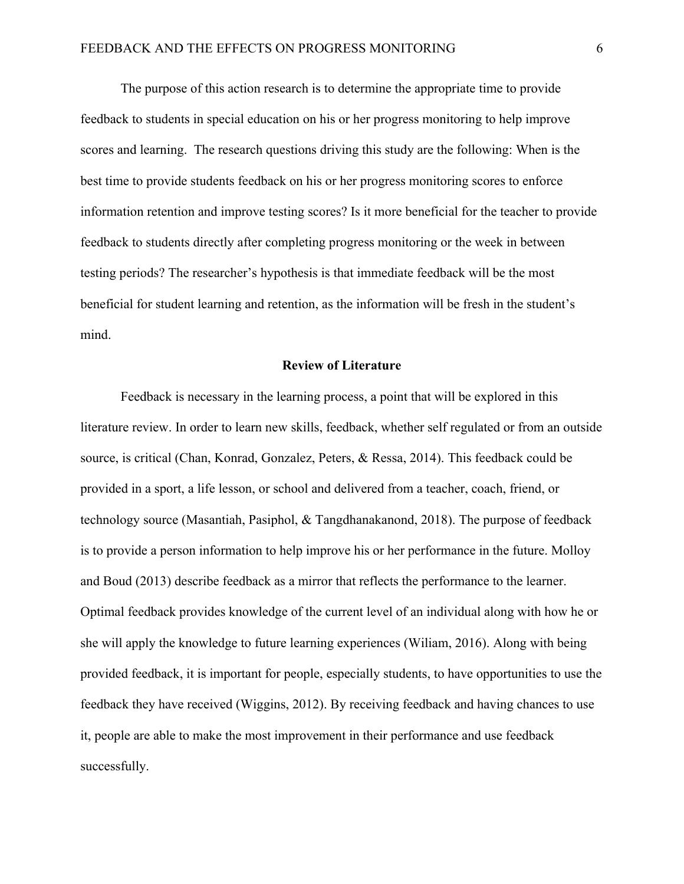The purpose of this action research is to determine the appropriate time to provide feedback to students in special education on his or her progress monitoring to help improve scores and learning. The research questions driving this study are the following: When is the best time to provide students feedback on his or her progress monitoring scores to enforce information retention and improve testing scores? Is it more beneficial for the teacher to provide feedback to students directly after completing progress monitoring or the week in between testing periods? The researcher's hypothesis is that immediate feedback will be the most beneficial for student learning and retention, as the information will be fresh in the student's mind.

#### **Review of Literature**

Feedback is necessary in the learning process, a point that will be explored in this literature review. In order to learn new skills, feedback, whether self regulated or from an outside source, is critical (Chan, Konrad, Gonzalez, Peters, & Ressa, 2014). This feedback could be provided in a sport, a life lesson, or school and delivered from a teacher, coach, friend, or technology source (Masantiah, Pasiphol, & Tangdhanakanond, 2018). The purpose of feedback is to provide a person information to help improve his or her performance in the future. Molloy and Boud (2013) describe feedback as a mirror that reflects the performance to the learner. Optimal feedback provides knowledge of the current level of an individual along with how he or she will apply the knowledge to future learning experiences (Wiliam, 2016). Along with being provided feedback, it is important for people, especially students, to have opportunities to use the feedback they have received (Wiggins, 2012). By receiving feedback and having chances to use it, people are able to make the most improvement in their performance and use feedback successfully.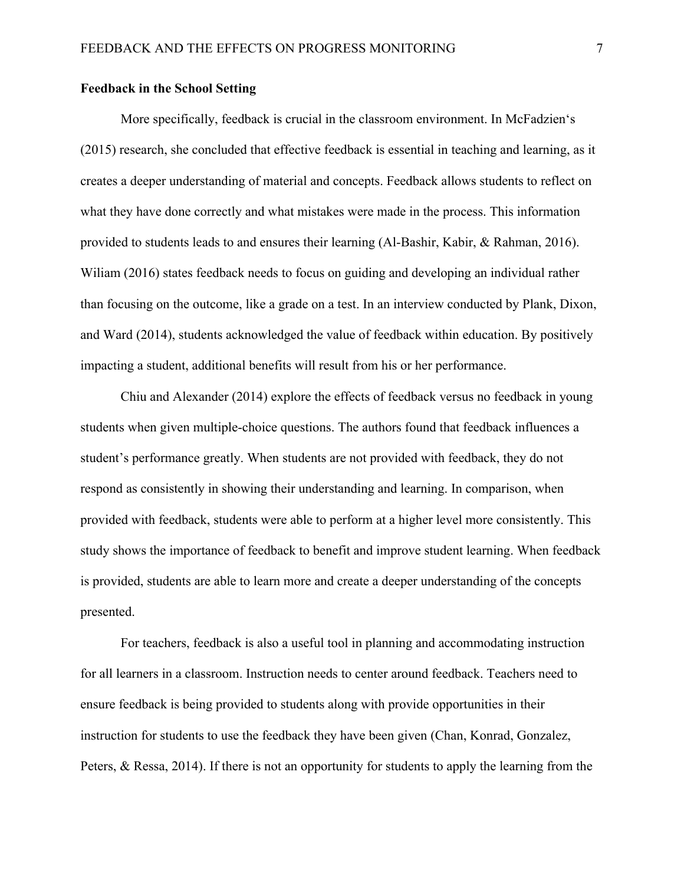#### **Feedback in the School Setting**

More specifically, feedback is crucial in the classroom environment. In McFadzien's (2015) research, she concluded that effective feedback is essential in teaching and learning, as it creates a deeper understanding of material and concepts. Feedback allows students to reflect on what they have done correctly and what mistakes were made in the process. This information provided to students leads to and ensures their learning (Al-Bashir, Kabir, & Rahman, 2016). Wiliam (2016) states feedback needs to focus on guiding and developing an individual rather than focusing on the outcome, like a grade on a test. In an interview conducted by Plank, Dixon, and Ward (2014), students acknowledged the value of feedback within education. By positively impacting a student, additional benefits will result from his or her performance.

Chiu and Alexander (2014) explore the effects of feedback versus no feedback in young students when given multiple-choice questions. The authors found that feedback influences a student's performance greatly. When students are not provided with feedback, they do not respond as consistently in showing their understanding and learning. In comparison, when provided with feedback, students were able to perform at a higher level more consistently. This study shows the importance of feedback to benefit and improve student learning. When feedback is provided, students are able to learn more and create a deeper understanding of the concepts presented.

For teachers, feedback is also a useful tool in planning and accommodating instruction for all learners in a classroom. Instruction needs to center around feedback. Teachers need to ensure feedback is being provided to students along with provide opportunities in their instruction for students to use the feedback they have been given (Chan, Konrad, Gonzalez, Peters, & Ressa, 2014). If there is not an opportunity for students to apply the learning from the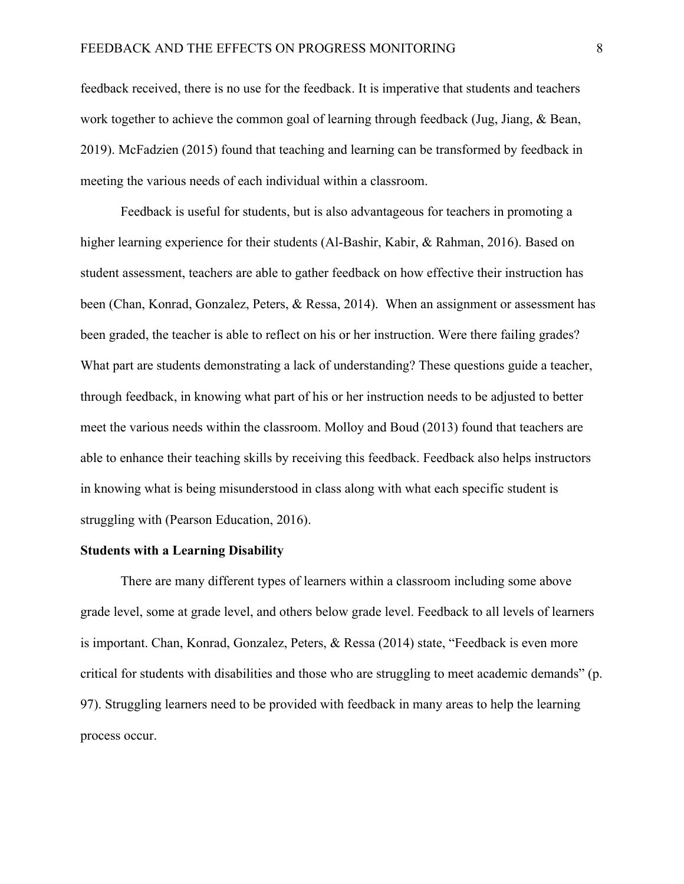feedback received, there is no use for the feedback. It is imperative that students and teachers work together to achieve the common goal of learning through feedback (Jug, Jiang, & Bean, 2019). McFadzien (2015) found that teaching and learning can be transformed by feedback in meeting the various needs of each individual within a classroom.

Feedback is useful for students, but is also advantageous for teachers in promoting a higher learning experience for their students (Al-Bashir, Kabir, & Rahman, 2016). Based on student assessment, teachers are able to gather feedback on how effective their instruction has been (Chan, Konrad, Gonzalez, Peters, & Ressa, 2014). When an assignment or assessment has been graded, the teacher is able to reflect on his or her instruction. Were there failing grades? What part are students demonstrating a lack of understanding? These questions guide a teacher, through feedback, in knowing what part of his or her instruction needs to be adjusted to better meet the various needs within the classroom. Molloy and Boud (2013) found that teachers are able to enhance their teaching skills by receiving this feedback. Feedback also helps instructors in knowing what is being misunderstood in class along with what each specific student is struggling with (Pearson Education, 2016).

#### **Students with a Learning Disability**

There are many different types of learners within a classroom including some above grade level, some at grade level, and others below grade level. Feedback to all levels of learners is important. Chan, Konrad, Gonzalez, Peters, & Ressa (2014) state, "Feedback is even more critical for students with disabilities and those who are struggling to meet academic demands" (p. 97). Struggling learners need to be provided with feedback in many areas to help the learning process occur.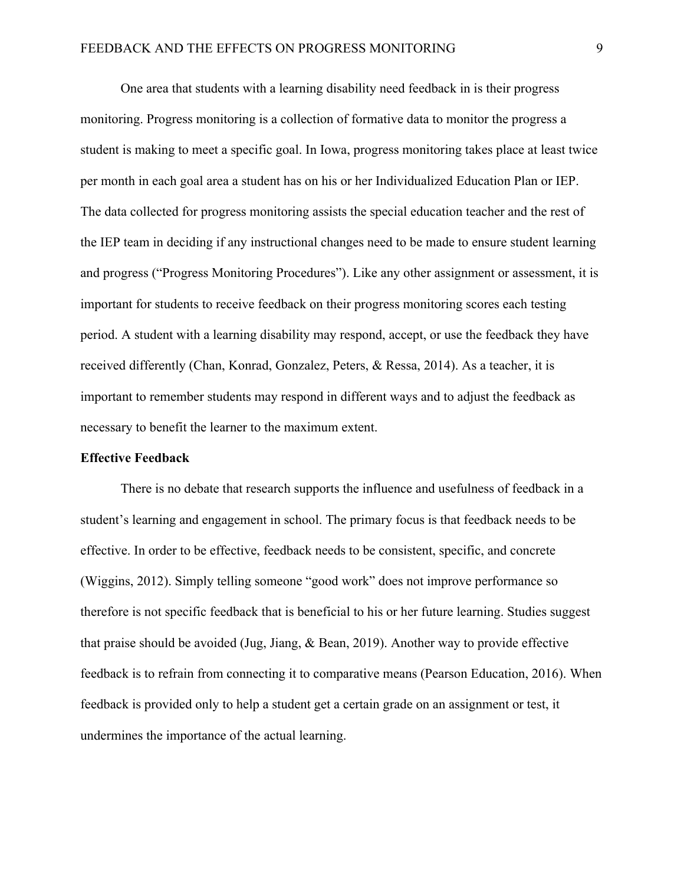One area that students with a learning disability need feedback in is their progress monitoring. Progress monitoring is a collection of formative data to monitor the progress a student is making to meet a specific goal. In Iowa, progress monitoring takes place at least twice per month in each goal area a student has on his or her Individualized Education Plan or IEP. The data collected for progress monitoring assists the special education teacher and the rest of the IEP team in deciding if any instructional changes need to be made to ensure student learning and progress ("Progress Monitoring Procedures"). Like any other assignment or assessment, it is important for students to receive feedback on their progress monitoring scores each testing period. A student with a learning disability may respond, accept, or use the feedback they have received differently (Chan, Konrad, Gonzalez, Peters, & Ressa, 2014). As a teacher, it is important to remember students may respond in different ways and to adjust the feedback as necessary to benefit the learner to the maximum extent.

#### **Effective Feedback**

There is no debate that research supports the influence and usefulness of feedback in a student's learning and engagement in school. The primary focus is that feedback needs to be effective. In order to be effective, feedback needs to be consistent, specific, and concrete (Wiggins, 2012). Simply telling someone "good work" does not improve performance so therefore is not specific feedback that is beneficial to his or her future learning. Studies suggest that praise should be avoided (Jug, Jiang, & Bean, 2019). Another way to provide effective feedback is to refrain from connecting it to comparative means (Pearson Education, 2016). When feedback is provided only to help a student get a certain grade on an assignment or test, it undermines the importance of the actual learning.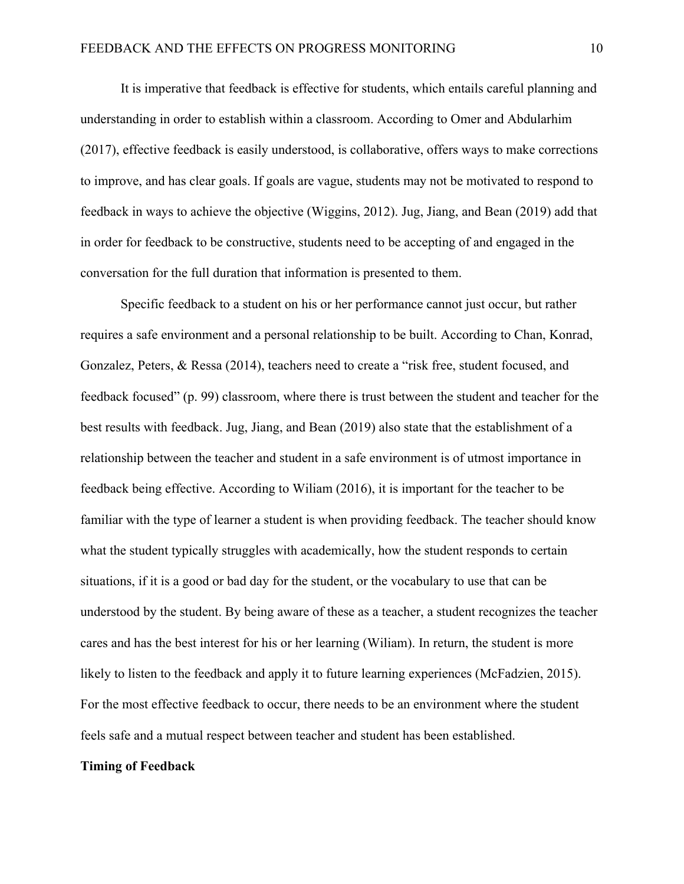It is imperative that feedback is effective for students, which entails careful planning and understanding in order to establish within a classroom. According to Omer and Abdularhim (2017), effective feedback is easily understood, is collaborative, offers ways to make corrections to improve, and has clear goals. If goals are vague, students may not be motivated to respond to feedback in ways to achieve the objective (Wiggins, 2012). Jug, Jiang, and Bean (2019) add that in order for feedback to be constructive, students need to be accepting of and engaged in the conversation for the full duration that information is presented to them.

Specific feedback to a student on his or her performance cannot just occur, but rather requires a safe environment and a personal relationship to be built. According to Chan, Konrad, Gonzalez, Peters, & Ressa (2014), teachers need to create a "risk free, student focused, and feedback focused" (p. 99) classroom, where there is trust between the student and teacher for the best results with feedback. Jug, Jiang, and Bean (2019) also state that the establishment of a relationship between the teacher and student in a safe environment is of utmost importance in feedback being effective. According to Wiliam (2016), it is important for the teacher to be familiar with the type of learner a student is when providing feedback. The teacher should know what the student typically struggles with academically, how the student responds to certain situations, if it is a good or bad day for the student, or the vocabulary to use that can be understood by the student. By being aware of these as a teacher, a student recognizes the teacher cares and has the best interest for his or her learning (Wiliam). In return, the student is more likely to listen to the feedback and apply it to future learning experiences (McFadzien, 2015). For the most effective feedback to occur, there needs to be an environment where the student feels safe and a mutual respect between teacher and student has been established.

#### **Timing of Feedback**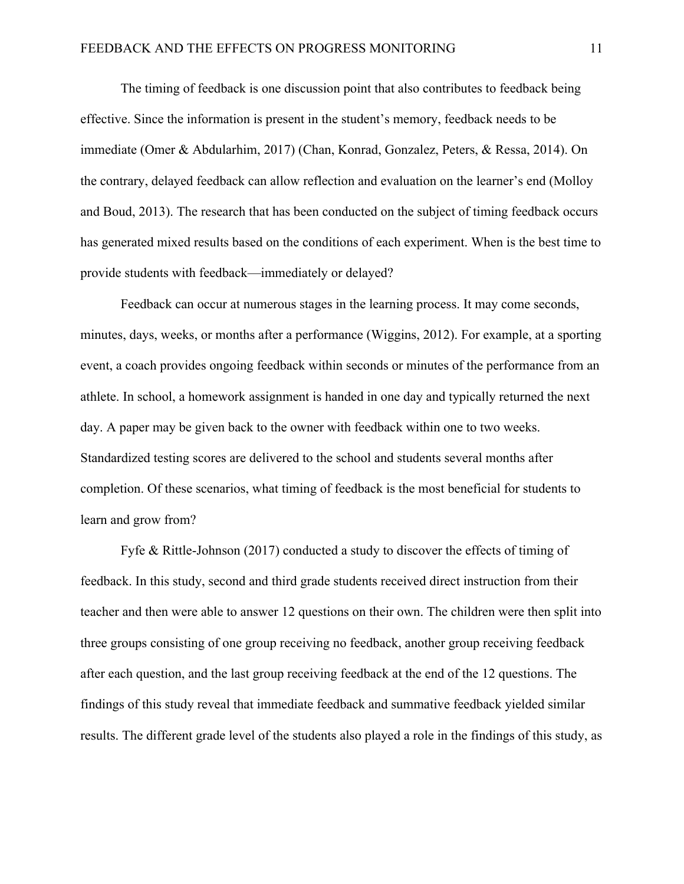The timing of feedback is one discussion point that also contributes to feedback being effective. Since the information is present in the student's memory, feedback needs to be immediate (Omer & Abdularhim, 2017) (Chan, Konrad, Gonzalez, Peters, & Ressa, 2014). On the contrary, delayed feedback can allow reflection and evaluation on the learner's end (Molloy and Boud, 2013). The research that has been conducted on the subject of timing feedback occurs has generated mixed results based on the conditions of each experiment. When is the best time to provide students with feedback—immediately or delayed?

Feedback can occur at numerous stages in the learning process. It may come seconds, minutes, days, weeks, or months after a performance (Wiggins, 2012). For example, at a sporting event, a coach provides ongoing feedback within seconds or minutes of the performance from an athlete. In school, a homework assignment is handed in one day and typically returned the next day. A paper may be given back to the owner with feedback within one to two weeks. Standardized testing scores are delivered to the school and students several months after completion. Of these scenarios, what timing of feedback is the most beneficial for students to learn and grow from?

Fyfe & Rittle-Johnson (2017) conducted a study to discover the effects of timing of feedback. In this study, second and third grade students received direct instruction from their teacher and then were able to answer 12 questions on their own. The children were then split into three groups consisting of one group receiving no feedback, another group receiving feedback after each question, and the last group receiving feedback at the end of the 12 questions. The findings of this study reveal that immediate feedback and summative feedback yielded similar results. The different grade level of the students also played a role in the findings of this study, as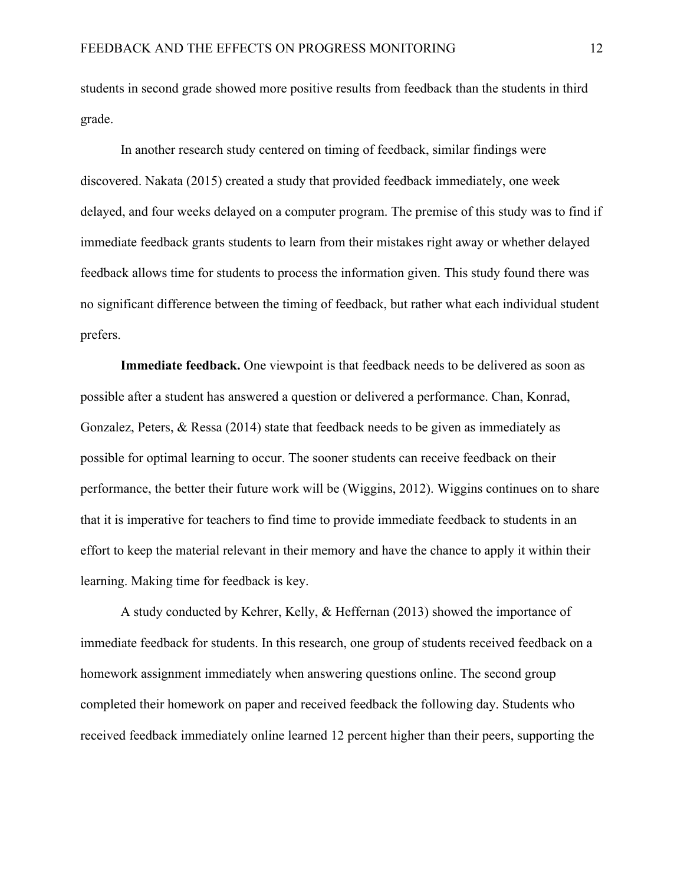students in second grade showed more positive results from feedback than the students in third grade.

In another research study centered on timing of feedback, similar findings were discovered. Nakata (2015) created a study that provided feedback immediately, one week delayed, and four weeks delayed on a computer program. The premise of this study was to find if immediate feedback grants students to learn from their mistakes right away or whether delayed feedback allows time for students to process the information given. This study found there was no significant difference between the timing of feedback, but rather what each individual student prefers.

**Immediate feedback.** One viewpoint is that feedback needs to be delivered as soon as possible after a student has answered a question or delivered a performance. Chan, Konrad, Gonzalez, Peters, & Ressa (2014) state that feedback needs to be given as immediately as possible for optimal learning to occur. The sooner students can receive feedback on their performance, the better their future work will be (Wiggins, 2012). Wiggins continues on to share that it is imperative for teachers to find time to provide immediate feedback to students in an effort to keep the material relevant in their memory and have the chance to apply it within their learning. Making time for feedback is key.

A study conducted by Kehrer, Kelly, & Heffernan (2013) showed the importance of immediate feedback for students. In this research, one group of students received feedback on a homework assignment immediately when answering questions online. The second group completed their homework on paper and received feedback the following day. Students who received feedback immediately online learned 12 percent higher than their peers, supporting the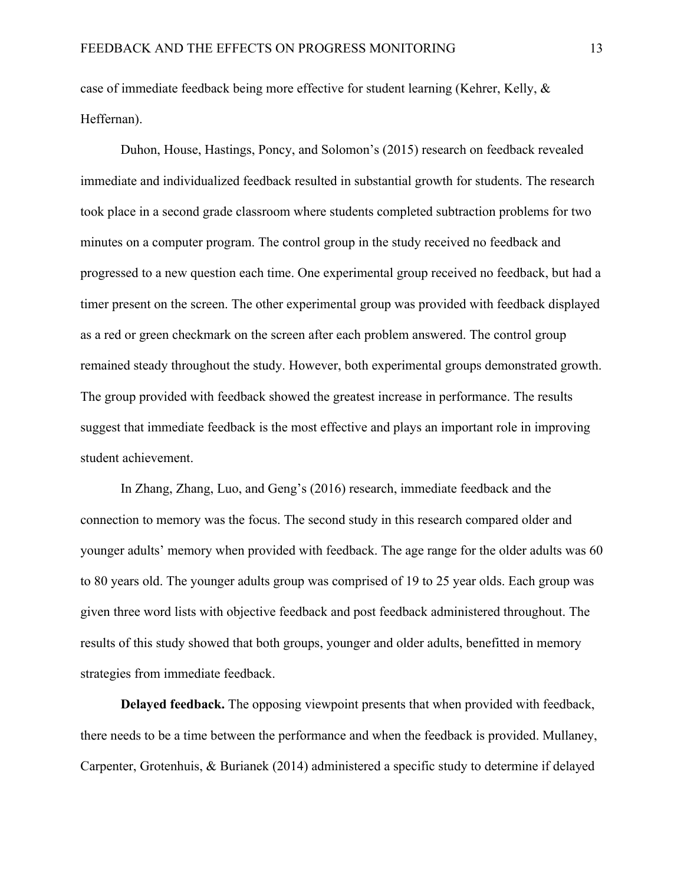case of immediate feedback being more effective for student learning (Kehrer, Kelly, & Heffernan).

Duhon, House, Hastings, Poncy, and Solomon's (2015) research on feedback revealed immediate and individualized feedback resulted in substantial growth for students. The research took place in a second grade classroom where students completed subtraction problems for two minutes on a computer program. The control group in the study received no feedback and progressed to a new question each time. One experimental group received no feedback, but had a timer present on the screen. The other experimental group was provided with feedback displayed as a red or green checkmark on the screen after each problem answered. The control group remained steady throughout the study. However, both experimental groups demonstrated growth. The group provided with feedback showed the greatest increase in performance. The results suggest that immediate feedback is the most effective and plays an important role in improving student achievement.

In Zhang, Zhang, Luo, and Geng's (2016) research, immediate feedback and the connection to memory was the focus. The second study in this research compared older and younger adults' memory when provided with feedback. The age range for the older adults was 60 to 80 years old. The younger adults group was comprised of 19 to 25 year olds. Each group was given three word lists with objective feedback and post feedback administered throughout. The results of this study showed that both groups, younger and older adults, benefitted in memory strategies from immediate feedback.

**Delayed feedback.** The opposing viewpoint presents that when provided with feedback, there needs to be a time between the performance and when the feedback is provided. Mullaney, Carpenter, Grotenhuis, & Burianek (2014) administered a specific study to determine if delayed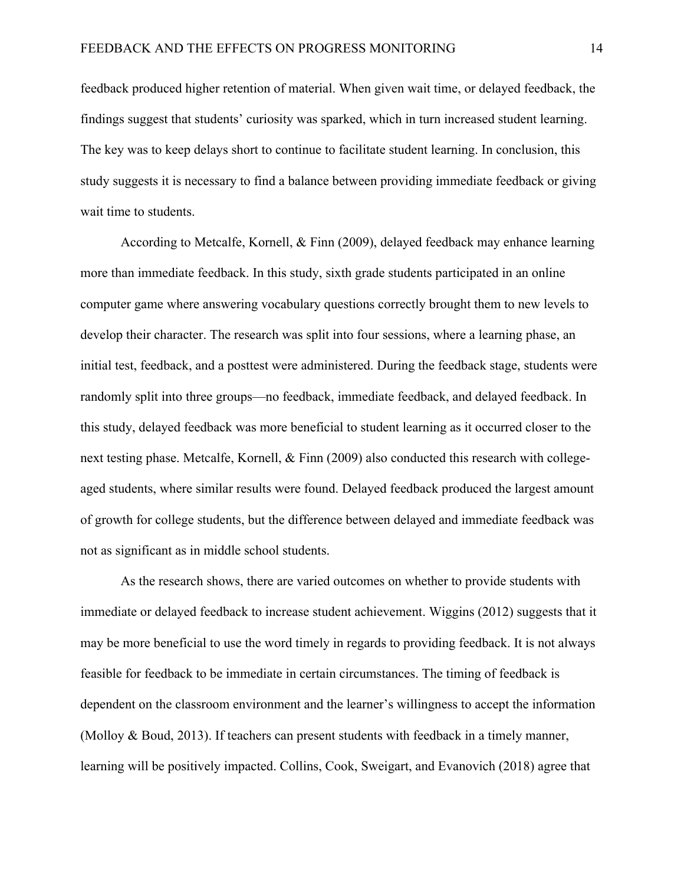feedback produced higher retention of material. When given wait time, or delayed feedback, the findings suggest that students' curiosity was sparked, which in turn increased student learning. The key was to keep delays short to continue to facilitate student learning. In conclusion, this study suggests it is necessary to find a balance between providing immediate feedback or giving wait time to students.

According to Metcalfe, Kornell, & Finn (2009), delayed feedback may enhance learning more than immediate feedback. In this study, sixth grade students participated in an online computer game where answering vocabulary questions correctly brought them to new levels to develop their character. The research was split into four sessions, where a learning phase, an initial test, feedback, and a posttest were administered. During the feedback stage, students were randomly split into three groups—no feedback, immediate feedback, and delayed feedback. In this study, delayed feedback was more beneficial to student learning as it occurred closer to the next testing phase. Metcalfe, Kornell, & Finn (2009) also conducted this research with collegeaged students, where similar results were found. Delayed feedback produced the largest amount of growth for college students, but the difference between delayed and immediate feedback was not as significant as in middle school students.

As the research shows, there are varied outcomes on whether to provide students with immediate or delayed feedback to increase student achievement. Wiggins (2012) suggests that it may be more beneficial to use the word timely in regards to providing feedback. It is not always feasible for feedback to be immediate in certain circumstances. The timing of feedback is dependent on the classroom environment and the learner's willingness to accept the information (Molloy & Boud, 2013). If teachers can present students with feedback in a timely manner, learning will be positively impacted. Collins, Cook, Sweigart, and Evanovich (2018) agree that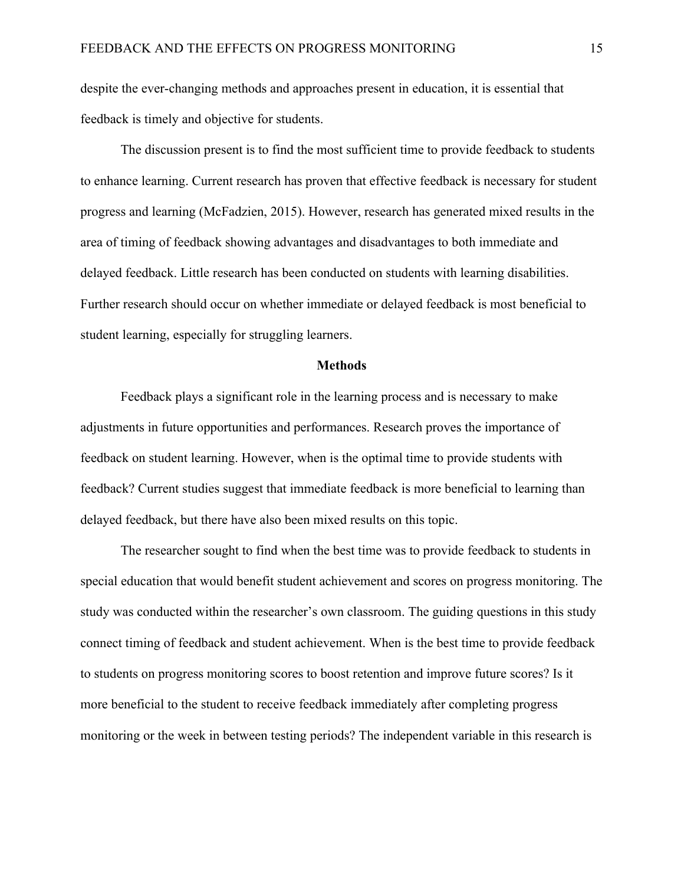despite the ever-changing methods and approaches present in education, it is essential that feedback is timely and objective for students.

The discussion present is to find the most sufficient time to provide feedback to students to enhance learning. Current research has proven that effective feedback is necessary for student progress and learning (McFadzien, 2015). However, research has generated mixed results in the area of timing of feedback showing advantages and disadvantages to both immediate and delayed feedback. Little research has been conducted on students with learning disabilities. Further research should occur on whether immediate or delayed feedback is most beneficial to student learning, especially for struggling learners.

#### **Methods**

Feedback plays a significant role in the learning process and is necessary to make adjustments in future opportunities and performances. Research proves the importance of feedback on student learning. However, when is the optimal time to provide students with feedback? Current studies suggest that immediate feedback is more beneficial to learning than delayed feedback, but there have also been mixed results on this topic.

The researcher sought to find when the best time was to provide feedback to students in special education that would benefit student achievement and scores on progress monitoring. The study was conducted within the researcher's own classroom. The guiding questions in this study connect timing of feedback and student achievement. When is the best time to provide feedback to students on progress monitoring scores to boost retention and improve future scores? Is it more beneficial to the student to receive feedback immediately after completing progress monitoring or the week in between testing periods? The independent variable in this research is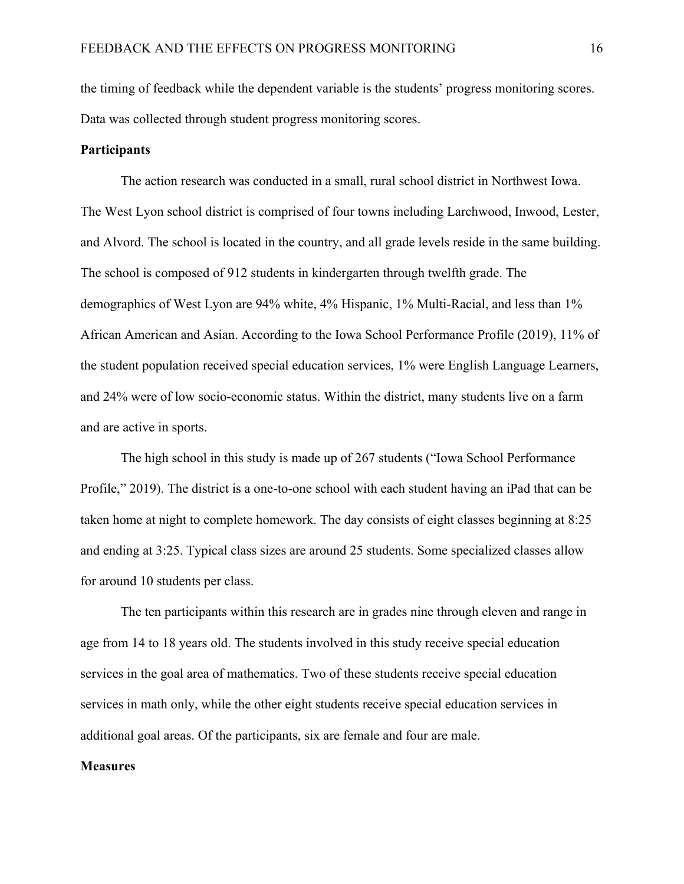the timing of feedback while the dependent variable is the students' progress monitoring scores. Data was collected through student progress monitoring scores.

#### **Participants**

The action research was conducted in a small, rural school district in Northwest Iowa. The West Lyon school district is comprised of four towns including Larchwood, Inwood, Lester, and Alvord. The school is located in the country, and all grade levels reside in the same building. The school is composed of 912 students in kindergarten through twelfth grade. The demographics of West Lyon are 94% white, 4% Hispanic, 1% Multi-Racial, and less than 1% African American and Asian. According to the Iowa School Performance Profile (2019), 11% of the student population received special education services, 1% were English Language Learners, and 24% were of low socio-economic status. Within the district, many students live on a farm and are active in sports.

The high school in this study is made up of 267 students ("Iowa School Performance Profile," 2019). The district is a one-to-one school with each student having an iPad that can be taken home at night to complete homework. The day consists of eight classes beginning at 8:25 and ending at 3:25. Typical class sizes are around 25 students. Some specialized classes allow for around 10 students per class.

The ten participants within this research are in grades nine through eleven and range in age from 14 to 18 years old. The students involved in this study receive special education services in the goal area of mathematics. Two of these students receive special education services in math only, while the other eight students receive special education services in additional goal areas. Of the participants, six are female and four are male.

#### **Measures**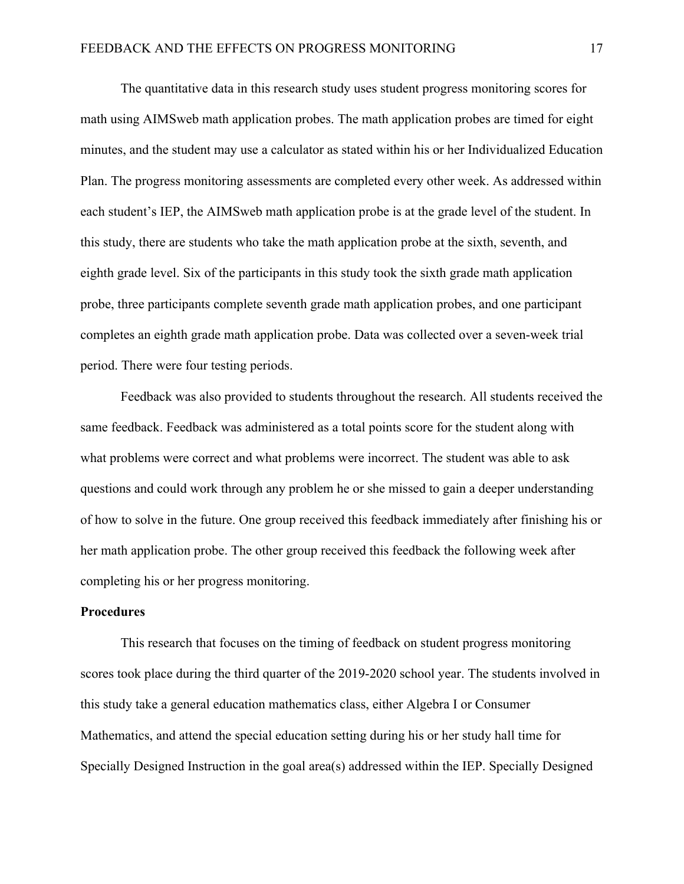The quantitative data in this research study uses student progress monitoring scores for math using AIMSweb math application probes. The math application probes are timed for eight minutes, and the student may use a calculator as stated within his or her Individualized Education Plan. The progress monitoring assessments are completed every other week. As addressed within each student's IEP, the AIMSweb math application probe is at the grade level of the student. In this study, there are students who take the math application probe at the sixth, seventh, and eighth grade level. Six of the participants in this study took the sixth grade math application probe, three participants complete seventh grade math application probes, and one participant completes an eighth grade math application probe. Data was collected over a seven-week trial period. There were four testing periods.

Feedback was also provided to students throughout the research. All students received the same feedback. Feedback was administered as a total points score for the student along with what problems were correct and what problems were incorrect. The student was able to ask questions and could work through any problem he or she missed to gain a deeper understanding of how to solve in the future. One group received this feedback immediately after finishing his or her math application probe. The other group received this feedback the following week after completing his or her progress monitoring.

#### **Procedures**

This research that focuses on the timing of feedback on student progress monitoring scores took place during the third quarter of the 2019-2020 school year. The students involved in this study take a general education mathematics class, either Algebra I or Consumer Mathematics, and attend the special education setting during his or her study hall time for Specially Designed Instruction in the goal area(s) addressed within the IEP. Specially Designed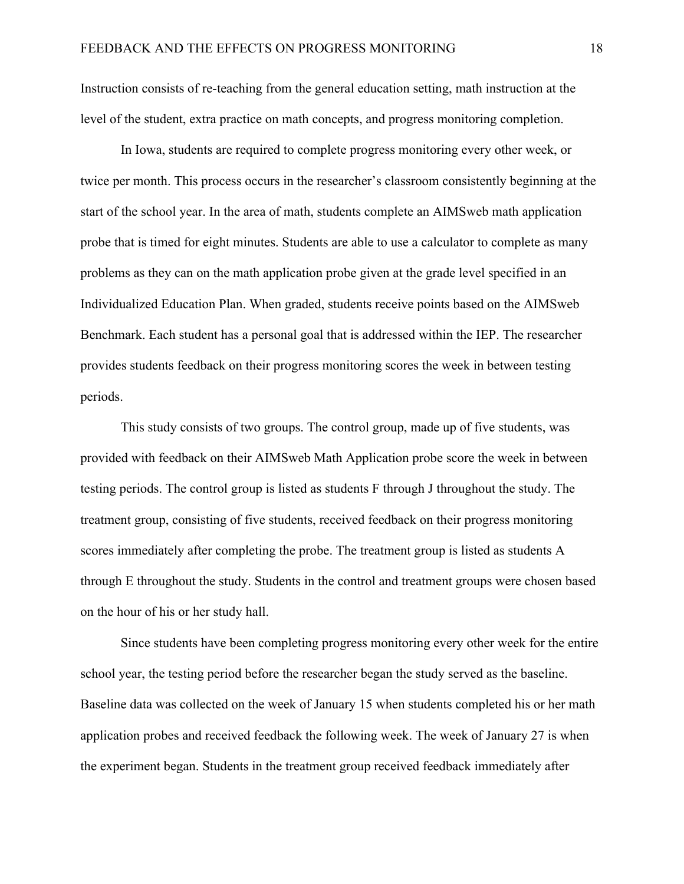Instruction consists of re-teaching from the general education setting, math instruction at the level of the student, extra practice on math concepts, and progress monitoring completion.

In Iowa, students are required to complete progress monitoring every other week, or twice per month. This process occurs in the researcher's classroom consistently beginning at the start of the school year. In the area of math, students complete an AIMSweb math application probe that is timed for eight minutes. Students are able to use a calculator to complete as many problems as they can on the math application probe given at the grade level specified in an Individualized Education Plan. When graded, students receive points based on the AIMSweb Benchmark. Each student has a personal goal that is addressed within the IEP. The researcher provides students feedback on their progress monitoring scores the week in between testing periods.

This study consists of two groups. The control group, made up of five students, was provided with feedback on their AIMSweb Math Application probe score the week in between testing periods. The control group is listed as students F through J throughout the study. The treatment group, consisting of five students, received feedback on their progress monitoring scores immediately after completing the probe. The treatment group is listed as students A through E throughout the study. Students in the control and treatment groups were chosen based on the hour of his or her study hall.

Since students have been completing progress monitoring every other week for the entire school year, the testing period before the researcher began the study served as the baseline. Baseline data was collected on the week of January 15 when students completed his or her math application probes and received feedback the following week. The week of January 27 is when the experiment began. Students in the treatment group received feedback immediately after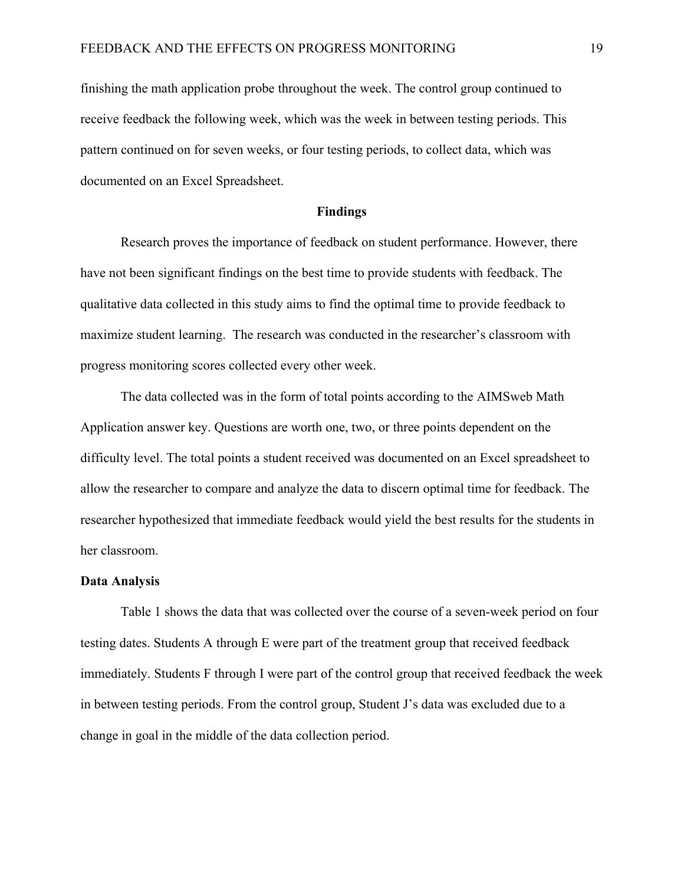finishing the math application probe throughout the week. The control group continued to receive feedback the following week, which was the week in between testing periods. This pattern continued on for seven weeks, or four testing periods, to collect data, which was documented on an Excel Spreadsheet.

#### **Findings**

Research proves the importance of feedback on student performance. However, there have not been significant findings on the best time to provide students with feedback. The qualitative data collected in this study aims to find the optimal time to provide feedback to maximize student learning. The research was conducted in the researcher's classroom with progress monitoring scores collected every other week.

The data collected was in the form of total points according to the AIMSweb Math Application answer key. Questions are worth one, two, or three points dependent on the difficulty level. The total points a student received was documented on an Excel spreadsheet to allow the researcher to compare and analyze the data to discern optimal time for feedback. The researcher hypothesized that immediate feedback would yield the best results for the students in her classroom.

#### **Data Analysis**

Table 1 shows the data that was collected over the course of a seven-week period on four testing dates. Students A through E were part of the treatment group that received feedback immediately. Students F through I were part of the control group that received feedback the week in between testing periods. From the control group, Student J's data was excluded due to a change in goal in the middle of the data collection period.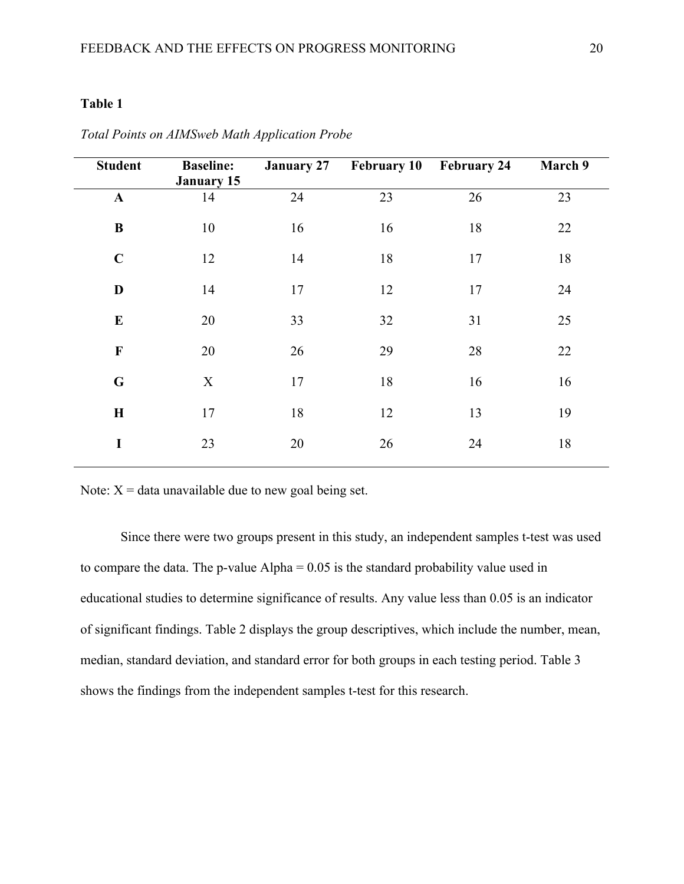### **Table 1**

| <b>Student</b> | <b>Baseline:</b><br><b>January 15</b> | <b>January 27</b> | <b>February 10 February 24</b> |    | March 9 |
|----------------|---------------------------------------|-------------------|--------------------------------|----|---------|
| $\mathbf A$    | 14                                    | 24                | 23                             | 26 | 23      |
| $\bf{B}$       | 10                                    | 16                | 16                             | 18 | 22      |
| $\mathbf C$    | 12                                    | 14                | 18                             | 17 | 18      |
| D              | 14                                    | 17                | 12                             | 17 | 24      |
| ${\bf E}$      | 20                                    | 33                | 32                             | 31 | 25      |
| $\mathbf F$    | 20                                    | 26                | 29                             | 28 | 22      |
| $\mathbf G$    | X                                     | 17                | 18                             | 16 | 16      |
| $\mathbf H$    | 17                                    | 18                | 12                             | 13 | 19      |
| I              | 23                                    | 20                | 26                             | 24 | 18      |

*Total Points on AIMSweb Math Application Probe*

Note:  $X = data$  unavailable due to new goal being set.

Since there were two groups present in this study, an independent samples t-test was used to compare the data. The p-value  $Alpha = 0.05$  is the standard probability value used in educational studies to determine significance of results. Any value less than 0.05 is an indicator of significant findings. Table 2 displays the group descriptives, which include the number, mean, median, standard deviation, and standard error for both groups in each testing period. Table 3 shows the findings from the independent samples t-test for this research.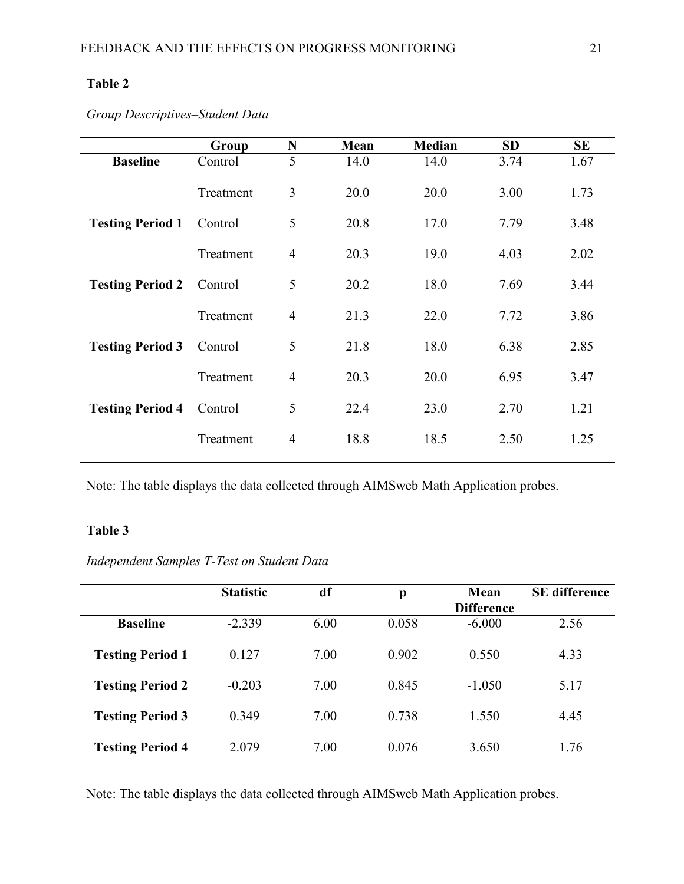## **Table 2**

*Group Descriptives–Student Data*

|                         | Group     | N              | Mean | Median | <b>SD</b> | SЕ   |
|-------------------------|-----------|----------------|------|--------|-----------|------|
| <b>Baseline</b>         | Control   | 5              | 14.0 | 14.0   | 3.74      | 1.67 |
|                         | Treatment | 3              | 20.0 | 20.0   | 3.00      | 1.73 |
| <b>Testing Period 1</b> | Control   | 5              | 20.8 | 17.0   | 7.79      | 3.48 |
|                         | Treatment | $\overline{4}$ | 20.3 | 19.0   | 4.03      | 2.02 |
| <b>Testing Period 2</b> | Control   | 5              | 20.2 | 18.0   | 7.69      | 3.44 |
|                         | Treatment | $\overline{4}$ | 21.3 | 22.0   | 7.72      | 3.86 |
| <b>Testing Period 3</b> | Control   | 5              | 21.8 | 18.0   | 6.38      | 2.85 |
|                         | Treatment | $\overline{4}$ | 20.3 | 20.0   | 6.95      | 3.47 |
| <b>Testing Period 4</b> | Control   | 5              | 22.4 | 23.0   | 2.70      | 1.21 |
|                         | Treatment | $\overline{4}$ | 18.8 | 18.5   | 2.50      | 1.25 |

Note: The table displays the data collected through AIMSweb Math Application probes.

## **Table 3**

*Independent Samples T-Test on Student Data* 

|                         | <b>Statistic</b> | df   | p     | Mean<br><b>Difference</b> | <b>SE</b> difference |
|-------------------------|------------------|------|-------|---------------------------|----------------------|
| <b>Baseline</b>         | $-2.339$         | 6.00 | 0.058 | $-6.000$                  | 2.56                 |
| <b>Testing Period 1</b> | 0.127            | 7.00 | 0.902 | 0.550                     | 4.33                 |
| <b>Testing Period 2</b> | $-0.203$         | 7.00 | 0.845 | $-1.050$                  | 5.17                 |
| <b>Testing Period 3</b> | 0.349            | 7.00 | 0.738 | 1.550                     | 4.45                 |
| <b>Testing Period 4</b> | 2.079            | 7.00 | 0.076 | 3.650                     | 1.76                 |

Note: The table displays the data collected through AIMSweb Math Application probes.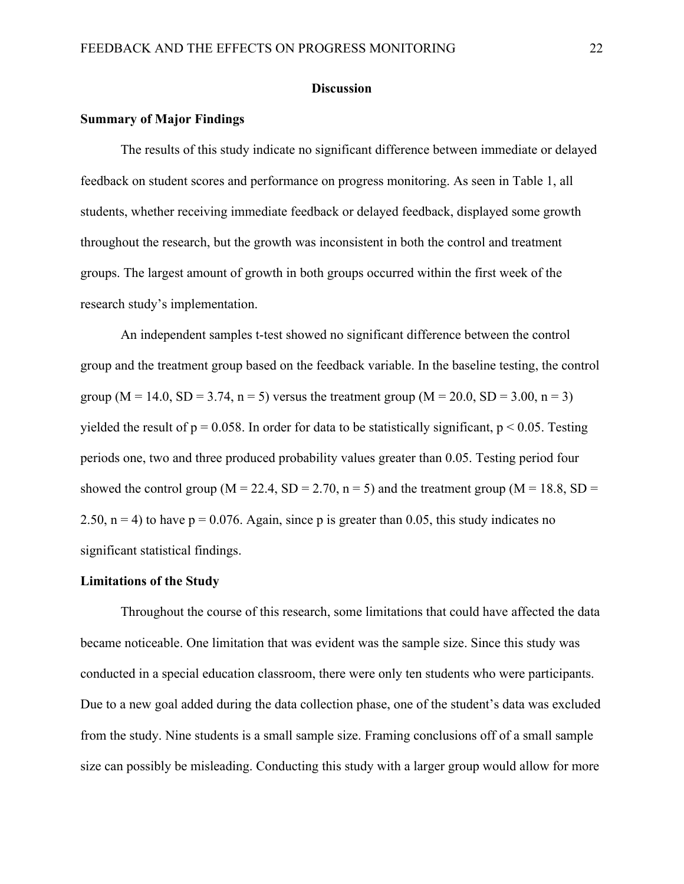#### **Discussion**

#### **Summary of Major Findings**

The results of this study indicate no significant difference between immediate or delayed feedback on student scores and performance on progress monitoring. As seen in Table 1, all students, whether receiving immediate feedback or delayed feedback, displayed some growth throughout the research, but the growth was inconsistent in both the control and treatment groups. The largest amount of growth in both groups occurred within the first week of the research study's implementation.

An independent samples t-test showed no significant difference between the control group and the treatment group based on the feedback variable. In the baseline testing, the control group ( $M = 14.0$ ,  $SD = 3.74$ ,  $n = 5$ ) versus the treatment group ( $M = 20.0$ ,  $SD = 3.00$ ,  $n = 3$ ) yielded the result of  $p = 0.058$ . In order for data to be statistically significant,  $p \le 0.05$ . Testing periods one, two and three produced probability values greater than 0.05. Testing period four showed the control group ( $M = 22.4$ ,  $SD = 2.70$ ,  $n = 5$ ) and the treatment group ( $M = 18.8$ ,  $SD =$ 2.50,  $n = 4$ ) to have  $p = 0.076$ . Again, since p is greater than 0.05, this study indicates no significant statistical findings.

#### **Limitations of the Study**

Throughout the course of this research, some limitations that could have affected the data became noticeable. One limitation that was evident was the sample size. Since this study was conducted in a special education classroom, there were only ten students who were participants. Due to a new goal added during the data collection phase, one of the student's data was excluded from the study. Nine students is a small sample size. Framing conclusions off of a small sample size can possibly be misleading. Conducting this study with a larger group would allow for more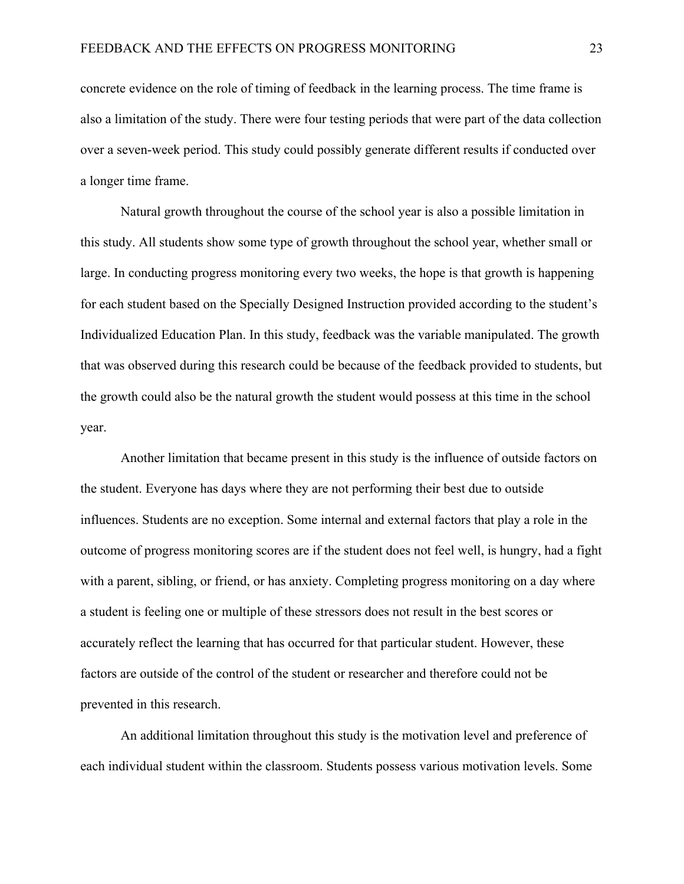concrete evidence on the role of timing of feedback in the learning process. The time frame is also a limitation of the study. There were four testing periods that were part of the data collection over a seven-week period. This study could possibly generate different results if conducted over a longer time frame.

Natural growth throughout the course of the school year is also a possible limitation in this study. All students show some type of growth throughout the school year, whether small or large. In conducting progress monitoring every two weeks, the hope is that growth is happening for each student based on the Specially Designed Instruction provided according to the student's Individualized Education Plan. In this study, feedback was the variable manipulated. The growth that was observed during this research could be because of the feedback provided to students, but the growth could also be the natural growth the student would possess at this time in the school year.

Another limitation that became present in this study is the influence of outside factors on the student. Everyone has days where they are not performing their best due to outside influences. Students are no exception. Some internal and external factors that play a role in the outcome of progress monitoring scores are if the student does not feel well, is hungry, had a fight with a parent, sibling, or friend, or has anxiety. Completing progress monitoring on a day where a student is feeling one or multiple of these stressors does not result in the best scores or accurately reflect the learning that has occurred for that particular student. However, these factors are outside of the control of the student or researcher and therefore could not be prevented in this research.

An additional limitation throughout this study is the motivation level and preference of each individual student within the classroom. Students possess various motivation levels. Some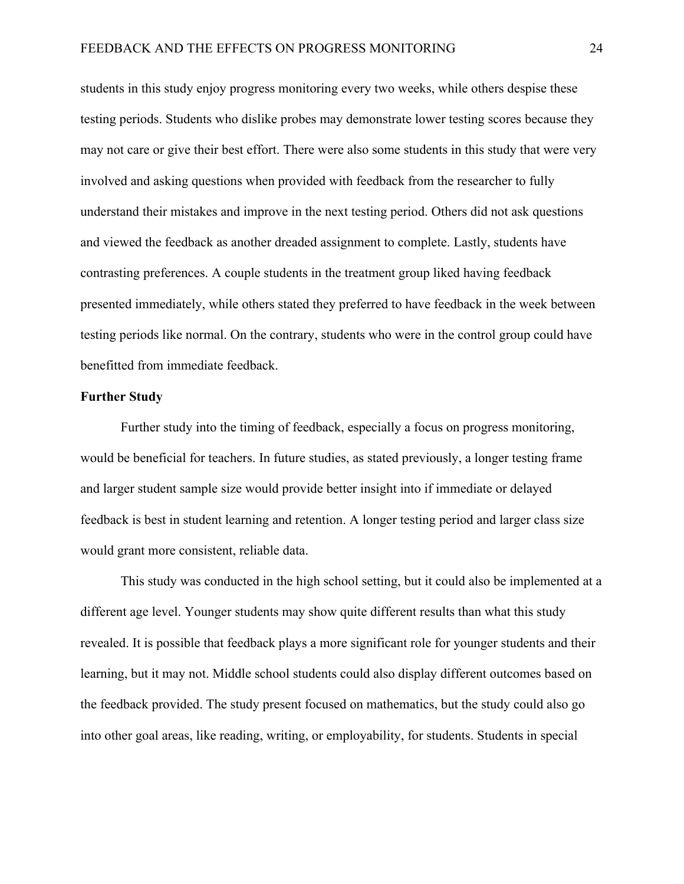students in this study enjoy progress monitoring every two weeks, while others despise these testing periods. Students who dislike probes may demonstrate lower testing scores because they may not care or give their best effort. There were also some students in this study that were very involved and asking questions when provided with feedback from the researcher to fully understand their mistakes and improve in the next testing period. Others did not ask questions and viewed the feedback as another dreaded assignment to complete. Lastly, students have contrasting preferences. A couple students in the treatment group liked having feedback presented immediately, while others stated they preferred to have feedback in the week between testing periods like normal. On the contrary, students who were in the control group could have benefitted from immediate feedback.

#### **Further Study**

Further study into the timing of feedback, especially a focus on progress monitoring, would be beneficial for teachers. In future studies, as stated previously, a longer testing frame and larger student sample size would provide better insight into if immediate or delayed feedback is best in student learning and retention. A longer testing period and larger class size would grant more consistent, reliable data.

This study was conducted in the high school setting, but it could also be implemented at a different age level. Younger students may show quite different results than what this study revealed. It is possible that feedback plays a more significant role for younger students and their learning, but it may not. Middle school students could also display different outcomes based on the feedback provided. The study present focused on mathematics, but the study could also go into other goal areas, like reading, writing, or employability, for students. Students in special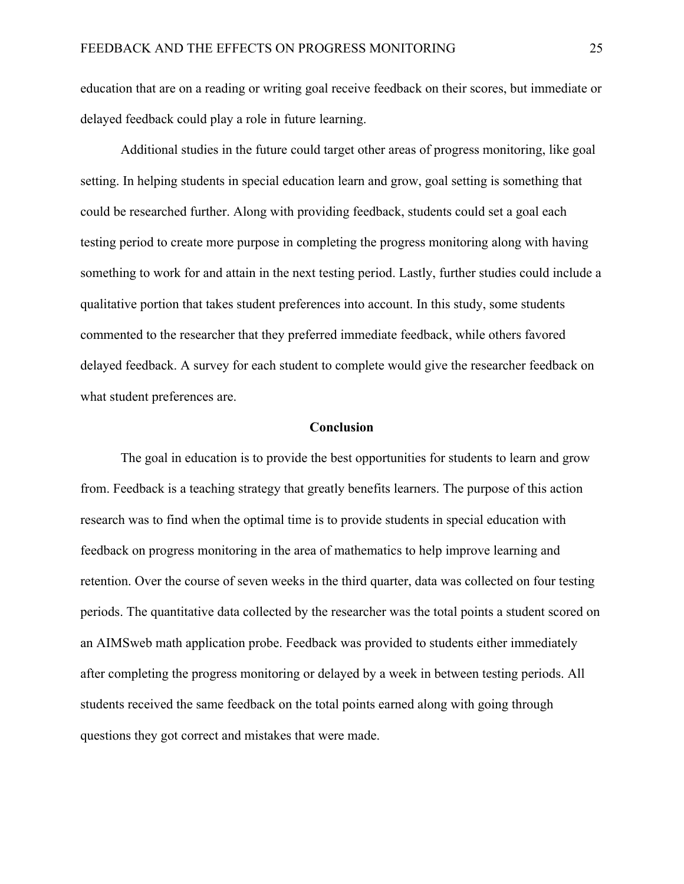education that are on a reading or writing goal receive feedback on their scores, but immediate or delayed feedback could play a role in future learning.

Additional studies in the future could target other areas of progress monitoring, like goal setting. In helping students in special education learn and grow, goal setting is something that could be researched further. Along with providing feedback, students could set a goal each testing period to create more purpose in completing the progress monitoring along with having something to work for and attain in the next testing period. Lastly, further studies could include a qualitative portion that takes student preferences into account. In this study, some students commented to the researcher that they preferred immediate feedback, while others favored delayed feedback. A survey for each student to complete would give the researcher feedback on what student preferences are.

#### **Conclusion**

The goal in education is to provide the best opportunities for students to learn and grow from. Feedback is a teaching strategy that greatly benefits learners. The purpose of this action research was to find when the optimal time is to provide students in special education with feedback on progress monitoring in the area of mathematics to help improve learning and retention. Over the course of seven weeks in the third quarter, data was collected on four testing periods. The quantitative data collected by the researcher was the total points a student scored on an AIMSweb math application probe. Feedback was provided to students either immediately after completing the progress monitoring or delayed by a week in between testing periods. All students received the same feedback on the total points earned along with going through questions they got correct and mistakes that were made.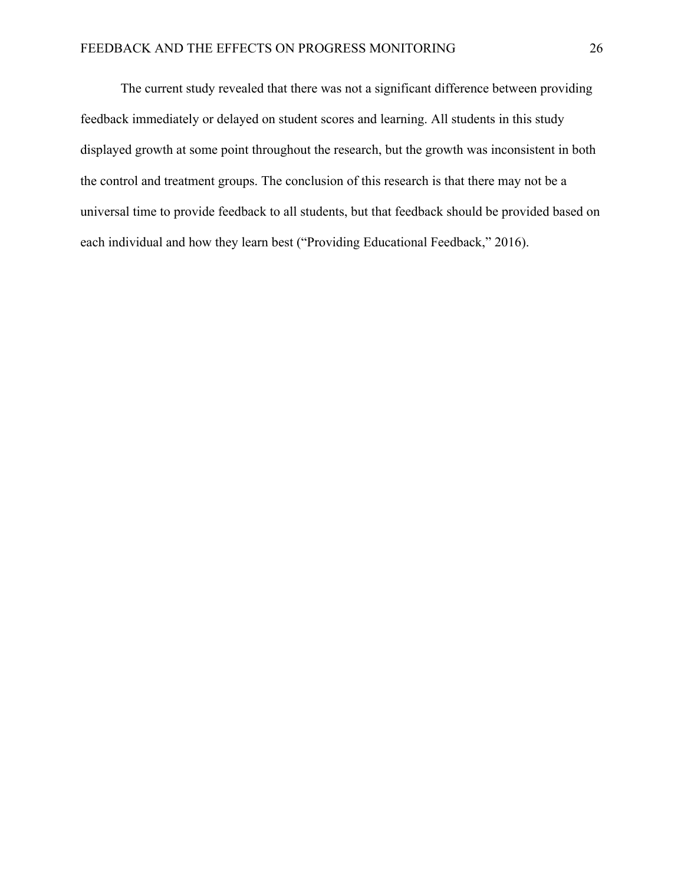The current study revealed that there was not a significant difference between providing feedback immediately or delayed on student scores and learning. All students in this study displayed growth at some point throughout the research, but the growth was inconsistent in both the control and treatment groups. The conclusion of this research is that there may not be a universal time to provide feedback to all students, but that feedback should be provided based on each individual and how they learn best ("Providing Educational Feedback," 2016).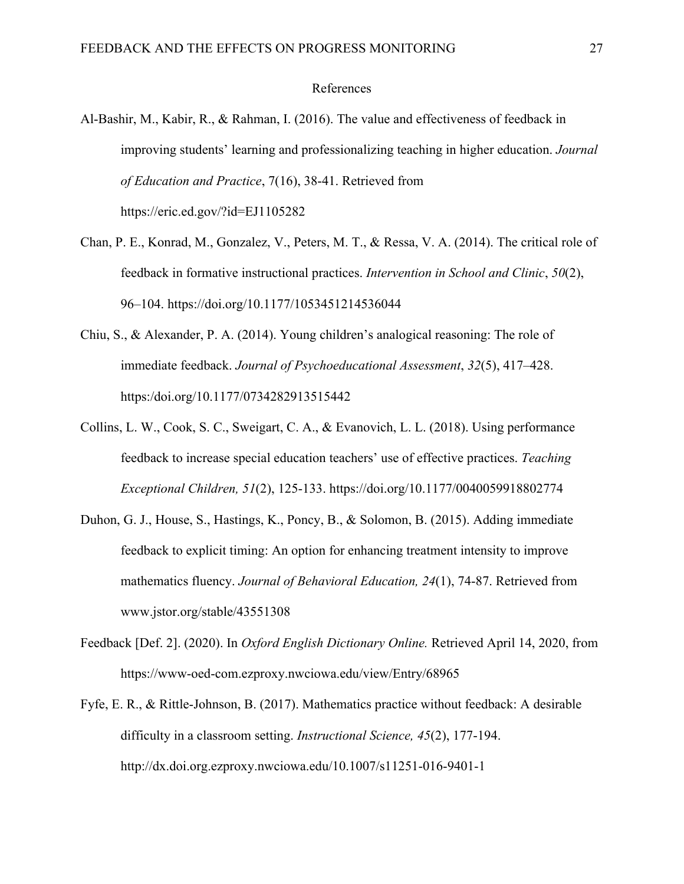#### References

- Al-Bashir, M., Kabir, R., & Rahman, I. (2016). The value and effectiveness of feedback in improving students' learning and professionalizing teaching in higher education. *Journal of Education and Practice*, 7(16), 38-41. Retrieved from https://eric.ed.gov/?id=EJ1105282
- Chan, P. E., Konrad, M., Gonzalez, V., Peters, M. T., & Ressa, V. A. (2014). The critical role of feedback in formative instructional practices. *Intervention in School and Clinic*, *50*(2), 96–104. https://doi.org/10.1177/1053451214536044
- Chiu, S., & Alexander, P. A. (2014). Young children's analogical reasoning: The role of immediate feedback. *Journal of Psychoeducational Assessment*, *32*(5), 417–428. https:/doi.org/10.1177/0734282913515442
- Collins, L. W., Cook, S. C., Sweigart, C. A., & Evanovich, L. L. (2018). Using performance feedback to increase special education teachers' use of effective practices. *Teaching Exceptional Children, 51*(2), 125-133. https://doi.org/10.1177/0040059918802774
- Duhon, G. J., House, S., Hastings, K., Poncy, B., & Solomon, B. (2015). Adding immediate feedback to explicit timing: An option for enhancing treatment intensity to improve mathematics fluency. *Journal of Behavioral Education, 24*(1), 74-87. Retrieved from www.jstor.org/stable/43551308
- Feedback [Def. 2]. (2020). In *Oxford English Dictionary Online.* Retrieved April 14, 2020, from https://www-oed-com.ezproxy.nwciowa.edu/view/Entry/68965
- Fyfe, E. R., & Rittle-Johnson, B. (2017). Mathematics practice without feedback: A desirable difficulty in a classroom setting. *Instructional Science, 45*(2), 177-194. http://dx.doi.org.ezproxy.nwciowa.edu/10.1007/s11251-016-9401-1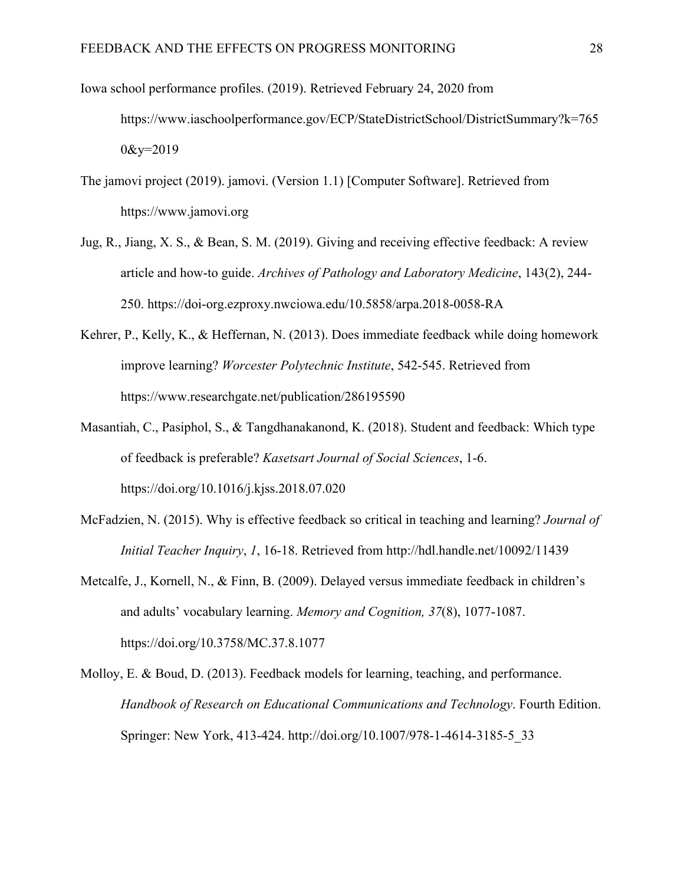- Iowa school performance profiles. (2019). Retrieved February 24, 2020 from https://www.iaschoolperformance.gov/ECP/StateDistrictSchool/DistrictSummary?k=765  $0&x=2019$
- The jamovi project (2019). jamovi. (Version 1.1) [Computer Software]. Retrieved from https://www.jamovi.org
- Jug, R., Jiang, X. S., & Bean, S. M. (2019). Giving and receiving effective feedback: A review article and how-to guide. *Archives of Pathology and Laboratory Medicine*, 143(2), 244- 250. https://doi-org.ezproxy.nwciowa.edu/10.5858/arpa.2018-0058-RA
- Kehrer, P., Kelly, K., & Heffernan, N. (2013). Does immediate feedback while doing homework improve learning? *Worcester Polytechnic Institute*, 542-545. Retrieved from https://www.researchgate.net/publication/286195590
- Masantiah, C., Pasiphol, S., & Tangdhanakanond, K. (2018). Student and feedback: Which type of feedback is preferable? *Kasetsart Journal of Social Sciences*, 1-6. https://doi.org/10.1016/j.kjss.2018.07.020
- McFadzien, N. (2015). Why is effective feedback so critical in teaching and learning? *Journal of Initial Teacher Inquiry*, *1*, 16-18. Retrieved from http://hdl.handle.net/10092/11439
- Metcalfe, J., Kornell, N., & Finn, B. (2009). Delayed versus immediate feedback in children's and adults' vocabulary learning. *Memory and Cognition, 37*(8), 1077-1087. https://doi.org/10.3758/MC.37.8.1077
- Molloy, E. & Boud, D. (2013). Feedback models for learning, teaching, and performance. *Handbook of Research on Educational Communications and Technology*. Fourth Edition. Springer: New York, 413-424. http://doi.org/10.1007/978-1-4614-3185-5\_33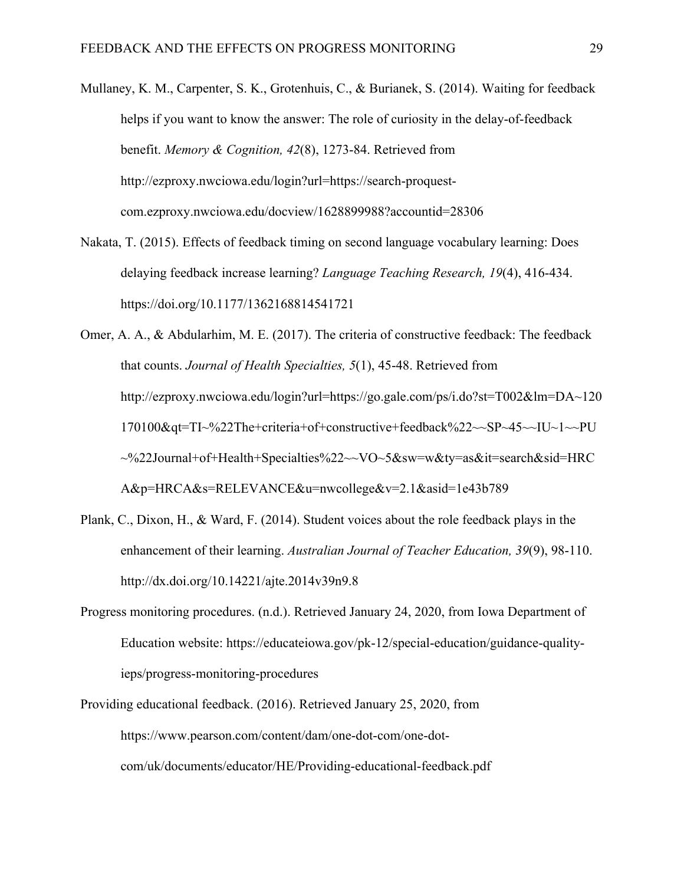- Mullaney, K. M., Carpenter, S. K., Grotenhuis, C., & Burianek, S. (2014). Waiting for feedback helps if you want to know the answer: The role of curiosity in the delay-of-feedback benefit. *Memory & Cognition, 42*(8), 1273-84. Retrieved from http://ezproxy.nwciowa.edu/login?url=https://search-proquestcom.ezproxy.nwciowa.edu/docview/1628899988?accountid=28306
- Nakata, T. (2015). Effects of feedback timing on second language vocabulary learning: Does delaying feedback increase learning? *Language Teaching Research, 19*(4), 416-434. https://doi.org/10.1177/1362168814541721
- Omer, A. A., & Abdularhim, M. E. (2017). The criteria of constructive feedback: The feedback that counts. *Journal of Health Specialties, 5*(1), 45-48. Retrieved from http://ezproxy.nwciowa.edu/login?url=https://go.gale.com/ps/i.do?st=T002&lm=DA~120 170100&qt=TI~%22The+criteria+of+constructive+feedback%22~~SP~45~~IU~1~~PU ~%22Journal+of+Health+Specialties%22~~VO~5&sw=w&ty=as&it=search&sid=HRC A&p=HRCA&s=RELEVANCE&u=nwcollege&v=2.1&asid=1e43b789
- Plank, C., Dixon, H., & Ward, F. (2014). Student voices about the role feedback plays in the enhancement of their learning. *Australian Journal of Teacher Education, 39*(9), 98-110. http://dx.doi.org/10.14221/ajte.2014v39n9.8
- Progress monitoring procedures. (n.d.). Retrieved January 24, 2020, from Iowa Department of Education website: https://educateiowa.gov/pk-12/special-education/guidance-qualityieps/progress-monitoring-procedures
- Providing educational feedback. (2016). Retrieved January 25, 2020, from https://www.pearson.com/content/dam/one-dot-com/one-dotcom/uk/documents/educator/HE/Providing-educational-feedback.pdf